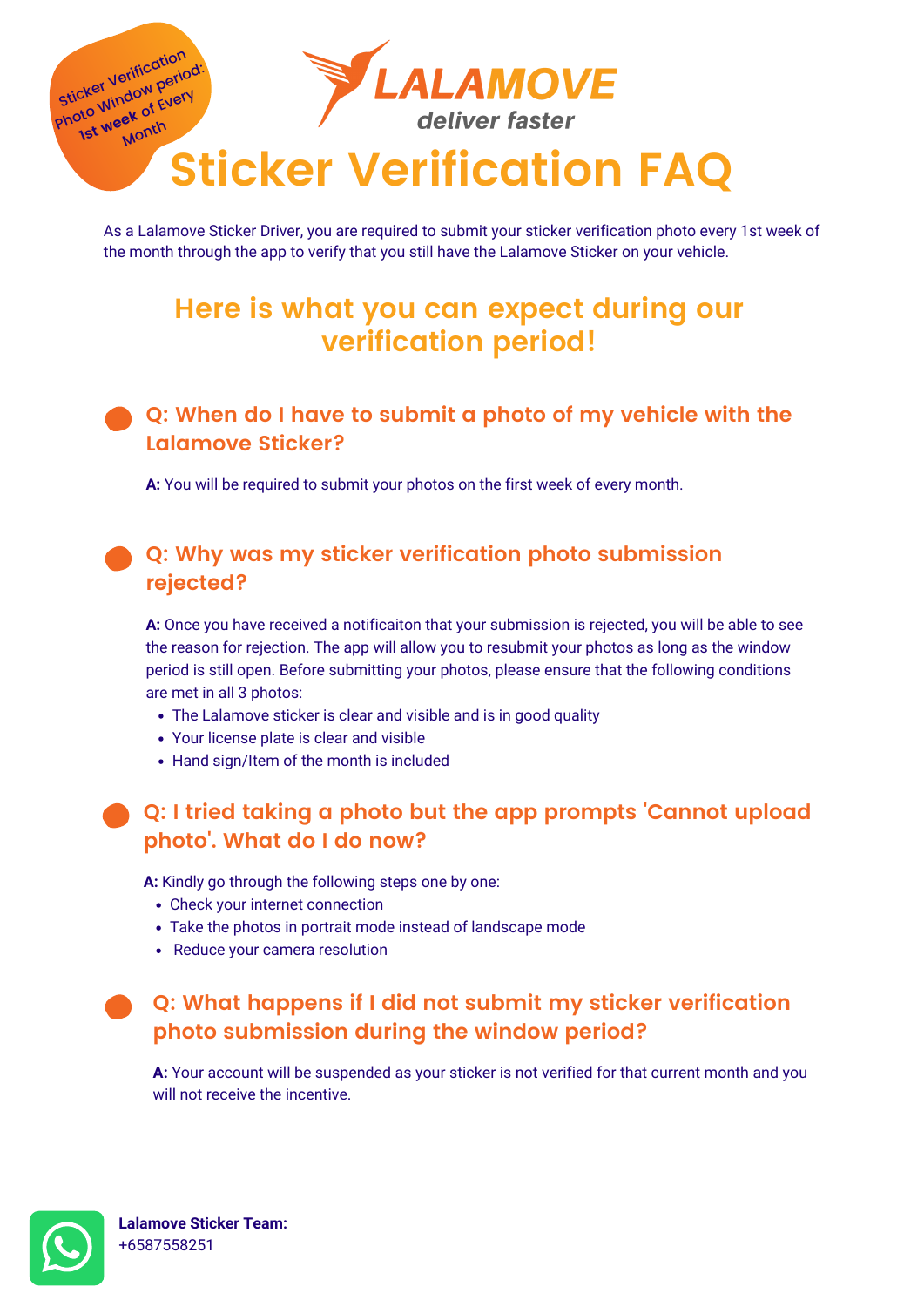- **A:** Kindly go through the following steps one by one:
	- Check your internet connection
	- Take the photos in portrait mode instead of landscape mode
	- Reduce your camera resolution
- - The Lalamove sticker is clear and visible and is in good quality
	- Your license plate is clear and visible
	- Hand sign/Item of the month is included

# **Q: I tried taking a photo but the app prompts 'Cannot upload photo '. What do I do now?**

**A:** Once you have received a notificaiton that your submission is rejected, you will be able to see the reason for rejection. The app will allow you to resubmit your photos as long as the window period is still open. Before submitting your photos, please ensure that the following conditions are met in all 3 photos:

### **Q: Why was my sticker verification photo submission rejected?**

As a Lalamove Sticker Driver, you are required to submit your sticker verification photo every 1st week of the month through the app to verify that you still have the Lalamove Sticker on your vehicle.



# **Here is what you can expect during our verification period!**

**Lalamove Sticker Team:** +6587558251

**A:** You will be required to submit your photos on the first week of every month.

## **Q: When do I have to submit a photo of my vehicle with the Lalamove Sticker?**

**A:** Your account will be suspended as your sticker is not verified for that current month and you will not receive the incentive.



# **Q: What happens if I did not submit my sticker verification photo submission during the window period?**